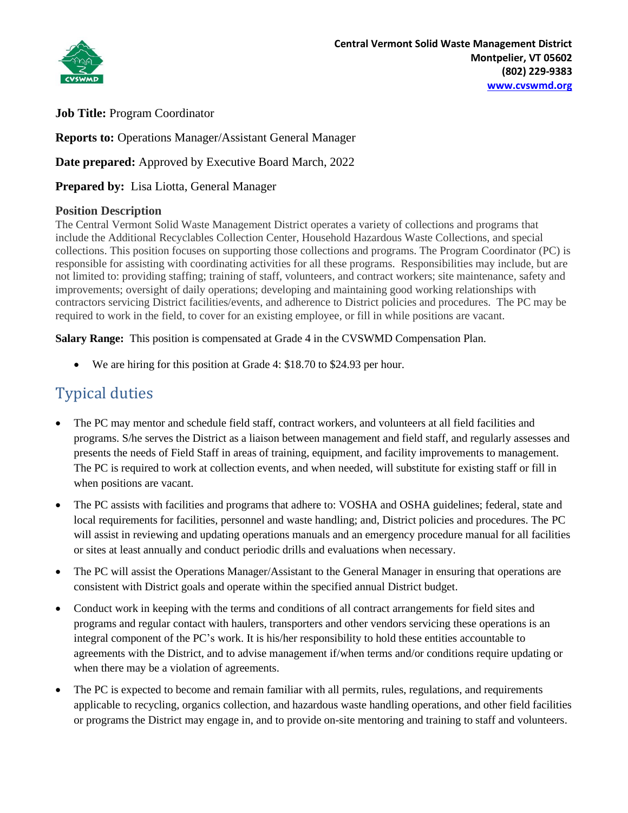

**Job Title:** Program Coordinator

**Reports to:** Operations Manager/Assistant General Manager

**Date prepared:** Approved by Executive Board March, 2022

**Prepared by:** Lisa Liotta, General Manager

### **Position Description**

The Central Vermont Solid Waste Management District operates a variety of collections and programs that include the Additional Recyclables Collection Center, Household Hazardous Waste Collections, and special collections. This position focuses on supporting those collections and programs. The Program Coordinator (PC) is responsible for assisting with coordinating activities for all these programs. Responsibilities may include, but are not limited to: providing staffing; training of staff, volunteers, and contract workers; site maintenance, safety and improvements; oversight of daily operations; developing and maintaining good working relationships with contractors servicing District facilities/events, and adherence to District policies and procedures. The PC may be required to work in the field, to cover for an existing employee, or fill in while positions are vacant.

**Salary Range:** This position is compensated at Grade 4 in the CVSWMD Compensation Plan.

• We are hiring for this position at Grade 4: \$18.70 to \$24.93 per hour.

## Typical duties

- The PC may mentor and schedule field staff, contract workers, and volunteers at all field facilities and programs. S/he serves the District as a liaison between management and field staff, and regularly assesses and presents the needs of Field Staff in areas of training, equipment, and facility improvements to management. The PC is required to work at collection events, and when needed, will substitute for existing staff or fill in when positions are vacant.
- The PC assists with facilities and programs that adhere to: VOSHA and OSHA guidelines; federal, state and local requirements for facilities, personnel and waste handling; and, District policies and procedures. The PC will assist in reviewing and updating operations manuals and an emergency procedure manual for all facilities or sites at least annually and conduct periodic drills and evaluations when necessary.
- The PC will assist the Operations Manager/Assistant to the General Manager in ensuring that operations are consistent with District goals and operate within the specified annual District budget.
- Conduct work in keeping with the terms and conditions of all contract arrangements for field sites and programs and regular contact with haulers, transporters and other vendors servicing these operations is an integral component of the PC's work. It is his/her responsibility to hold these entities accountable to agreements with the District, and to advise management if/when terms and/or conditions require updating or when there may be a violation of agreements.
- The PC is expected to become and remain familiar with all permits, rules, regulations, and requirements applicable to recycling, organics collection, and hazardous waste handling operations, and other field facilities or programs the District may engage in, and to provide on-site mentoring and training to staff and volunteers.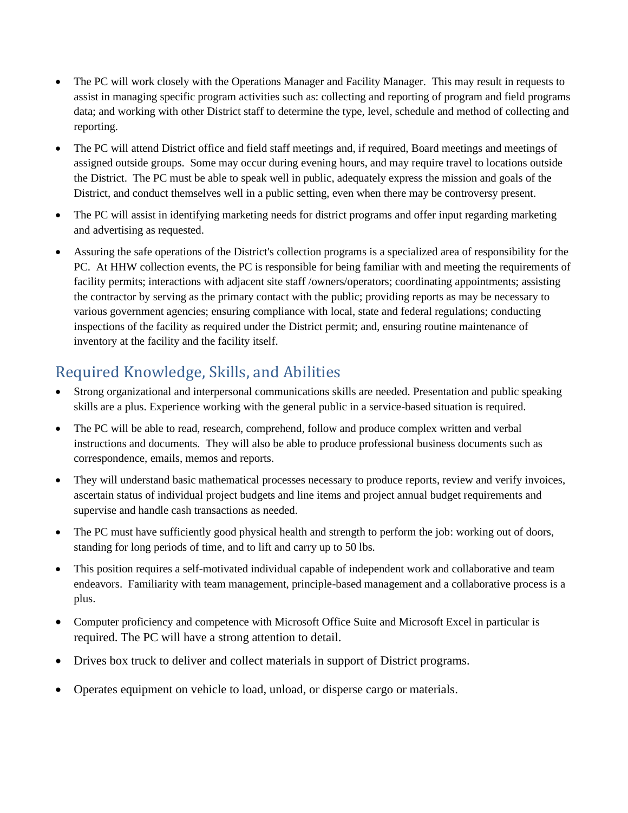- The PC will work closely with the Operations Manager and Facility Manager. This may result in requests to assist in managing specific program activities such as: collecting and reporting of program and field programs data; and working with other District staff to determine the type, level, schedule and method of collecting and reporting.
- The PC will attend District office and field staff meetings and, if required, Board meetings and meetings of assigned outside groups. Some may occur during evening hours, and may require travel to locations outside the District. The PC must be able to speak well in public, adequately express the mission and goals of the District, and conduct themselves well in a public setting, even when there may be controversy present.
- The PC will assist in identifying marketing needs for district programs and offer input regarding marketing and advertising as requested.
- Assuring the safe operations of the District's collection programs is a specialized area of responsibility for the PC. At HHW collection events, the PC is responsible for being familiar with and meeting the requirements of facility permits; interactions with adjacent site staff /owners/operators; coordinating appointments; assisting the contractor by serving as the primary contact with the public; providing reports as may be necessary to various government agencies; ensuring compliance with local, state and federal regulations; conducting inspections of the facility as required under the District permit; and, ensuring routine maintenance of inventory at the facility and the facility itself.

# Required Knowledge, Skills, and Abilities

- Strong organizational and interpersonal communications skills are needed. Presentation and public speaking skills are a plus. Experience working with the general public in a service-based situation is required.
- The PC will be able to read, research, comprehend, follow and produce complex written and verbal instructions and documents. They will also be able to produce professional business documents such as correspondence, emails, memos and reports.
- They will understand basic mathematical processes necessary to produce reports, review and verify invoices, ascertain status of individual project budgets and line items and project annual budget requirements and supervise and handle cash transactions as needed.
- The PC must have sufficiently good physical health and strength to perform the job: working out of doors, standing for long periods of time, and to lift and carry up to 50 lbs.
- This position requires a self-motivated individual capable of independent work and collaborative and team endeavors. Familiarity with team management, principle-based management and a collaborative process is a plus.
- Computer proficiency and competence with Microsoft Office Suite and Microsoft Excel in particular is required. The PC will have a strong attention to detail.
- Drives box truck to deliver and collect materials in support of District programs.
- Operates equipment on vehicle to load, unload, or disperse cargo or materials.